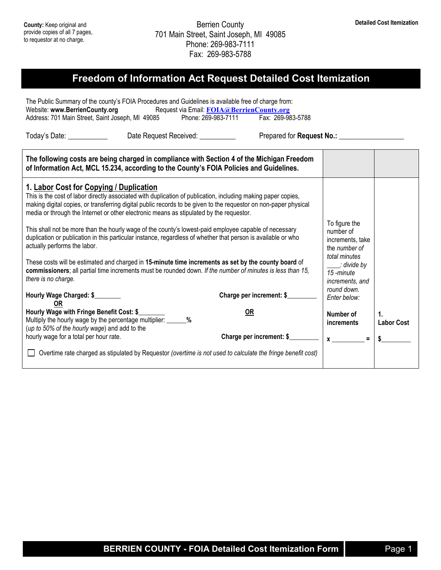## **Freedom of Information Act Request Detailed Cost Itemization**

The Public Summary of the county's FOIA Procedures and Guidelines is available free of charge from:<br>Website: www.BerrienCounty.org Request via Email: FOIA@BerrienCounty.org Request via Email: **[FOIA@BerrienCounty.org](mailto:FOIA@BerrienCounty.org)**<br>85 Phone: 269-983-7111 Fax: 269-983-5788 Address: 701 Main Street, Saint Joseph, MI 49085

Today's Date: \_\_\_\_\_\_\_\_\_\_\_\_\_\_ Date Request Received: \_\_\_\_\_\_\_\_\_\_\_\_\_\_ Prepared for Request No.: \_\_\_\_\_\_\_\_\_\_\_\_\_

| The following costs are being charged in compliance with Section 4 of the Michigan Freedom<br>of Information Act, MCL 15.234, according to the County's FOIA Policies and Guidelines.                                                                                                                                                                                   |                          |                                                                 |                                     |
|-------------------------------------------------------------------------------------------------------------------------------------------------------------------------------------------------------------------------------------------------------------------------------------------------------------------------------------------------------------------------|--------------------------|-----------------------------------------------------------------|-------------------------------------|
| 1. Labor Cost for Copying / Duplication<br>This is the cost of labor directly associated with duplication of publication, including making paper copies,<br>making digital copies, or transferring digital public records to be given to the requestor on non-paper physical<br>media or through the Internet or other electronic means as stipulated by the requestor. |                          |                                                                 |                                     |
| This shall not be more than the hourly wage of the county's lowest-paid employee capable of necessary<br>duplication or publication in this particular instance, regardless of whether that person is available or who<br>actually performs the labor.                                                                                                                  |                          | To figure the<br>number of<br>increments, take<br>the number of |                                     |
| These costs will be estimated and charged in 15-minute time increments as set by the county board of<br>commissioners; all partial time increments must be rounded down. If the number of minutes is less than 15,<br>there is no charge.                                                                                                                               |                          | total minutes<br>t divide by _<br>15 -minute<br>increments, and |                                     |
| Hourly Wage Charged: \$<br>0R                                                                                                                                                                                                                                                                                                                                           | Charge per increment: \$ | round down.<br>Enter below:                                     |                                     |
| Hourly Wage with Fringe Benefit Cost: \$<br>Multiply the hourly wage by the percentage multiplier: ______%<br>(up to 50% of the hourly wage) and add to the                                                                                                                                                                                                             | 0R                       | Number of<br>increments                                         | $\mathbf{1}$ .<br><b>Labor Cost</b> |
| hourly wage for a total per hour rate.                                                                                                                                                                                                                                                                                                                                  | Charge per increment: \$ |                                                                 |                                     |
| Overtime rate charged as stipulated by Requestor (overtime is not used to calculate the fringe benefit cost)                                                                                                                                                                                                                                                            |                          |                                                                 |                                     |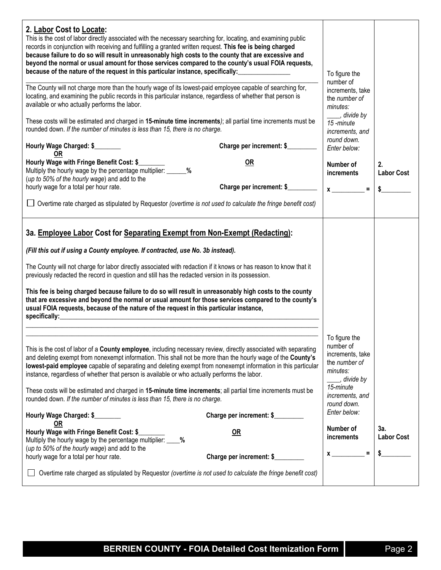| 2. Labor Cost to Locate:<br>This is the cost of labor directly associated with the necessary searching for, locating, and examining public<br>records in conjunction with receiving and fulfilling a granted written request. This fee is being charged<br>because failure to do so will result in unreasonably high costs to the county that are excessive and<br>beyond the normal or usual amount for those services compared to the county's usual FOIA requests,<br>because of the nature of the request in this particular instance, specifically:                                                                                                                                                                              |                                  | To figure the                                                                                                                              |                                |
|---------------------------------------------------------------------------------------------------------------------------------------------------------------------------------------------------------------------------------------------------------------------------------------------------------------------------------------------------------------------------------------------------------------------------------------------------------------------------------------------------------------------------------------------------------------------------------------------------------------------------------------------------------------------------------------------------------------------------------------|----------------------------------|--------------------------------------------------------------------------------------------------------------------------------------------|--------------------------------|
| The County will not charge more than the hourly wage of its lowest-paid employee capable of searching for,<br>locating, and examining the public records in this particular instance, regardless of whether that person is<br>available or who actually performs the labor.                                                                                                                                                                                                                                                                                                                                                                                                                                                           |                                  | number of<br>increments, take<br>the number of<br>minutes:                                                                                 |                                |
| These costs will be estimated and charged in 15-minute time increments); all partial time increments must be<br>rounded down. If the number of minutes is less than 15, there is no charge.                                                                                                                                                                                                                                                                                                                                                                                                                                                                                                                                           |                                  | s divide by<br>15-minute<br>increments, and<br>round down.                                                                                 |                                |
| Hourly Wage Charged: \$<br>0R                                                                                                                                                                                                                                                                                                                                                                                                                                                                                                                                                                                                                                                                                                         | Charge per increment: \$         | Enter below:                                                                                                                               |                                |
| Hourly Wage with Fringe Benefit Cost: \$<br>Multiply the hourly wage by the percentage multiplier: ______ %<br>(up to 50% of the hourly wage) and add to the                                                                                                                                                                                                                                                                                                                                                                                                                                                                                                                                                                          | OR                               | Number of<br>increments                                                                                                                    | 2.<br><b>Labor Cost</b>        |
| hourly wage for a total per hour rate.                                                                                                                                                                                                                                                                                                                                                                                                                                                                                                                                                                                                                                                                                                | Charge per increment: \$         | $x \overline{\phantom{a}}$                                                                                                                 | \$                             |
| Overtime rate charged as stipulated by Requestor (overtime is not used to calculate the fringe benefit cost)                                                                                                                                                                                                                                                                                                                                                                                                                                                                                                                                                                                                                          |                                  |                                                                                                                                            |                                |
| (Fill this out if using a County employee. If contracted, use No. 3b instead).<br>The County will not charge for labor directly associated with redaction if it knows or has reason to know that it<br>previously redacted the record in question and still has the redacted version in its possession.<br>This fee is being charged because failure to do so will result in unreasonably high costs to the county<br>that are excessive and beyond the normal or usual amount for those services compared to the county's<br>usual FOIA requests, because of the nature of the request in this particular instance,<br>specifically: experience and the set of the set of the set of the set of the set of the set of the set of the |                                  |                                                                                                                                            |                                |
| This is the cost of labor of a County employee, including necessary review, directly associated with separating<br>and deleting exempt from nonexempt information. This shall not be more than the hourly wage of the County's<br>lowest-paid employee capable of separating and deleting exempt from nonexempt information in this particular<br>instance, regardless of whether that person is available or who actually performs the labor.<br>These costs will be estimated and charged in 15-minute time increments; all partial time increments must be<br>rounded down. If the number of minutes is less than 15, there is no charge.                                                                                          |                                  | To figure the<br>number of<br>increments, take<br>the number of<br>minutes:<br>_, divide by<br>15-minute<br>increments, and<br>round down. |                                |
| Hourly Wage Charged: \$                                                                                                                                                                                                                                                                                                                                                                                                                                                                                                                                                                                                                                                                                                               | Charge per increment: \$         | Enter below:                                                                                                                               |                                |
| OR<br>Hourly Wage with Fringe Benefit Cost: \$<br>Multiply the hourly wage by the percentage multiplier: ____%<br>(up to 50% of the hourly wage) and add to the<br>hourly wage for a total per hour rate.                                                                                                                                                                                                                                                                                                                                                                                                                                                                                                                             | $OR$<br>Charge per increment: \$ | Number of<br>increments<br>$\equiv$<br>$x \overline{\phantom{a}}$                                                                          | 3а.<br><b>Labor Cost</b><br>\$ |
| Overtime rate charged as stipulated by Requestor (overtime is not used to calculate the fringe benefit cost)                                                                                                                                                                                                                                                                                                                                                                                                                                                                                                                                                                                                                          |                                  |                                                                                                                                            |                                |
|                                                                                                                                                                                                                                                                                                                                                                                                                                                                                                                                                                                                                                                                                                                                       |                                  |                                                                                                                                            |                                |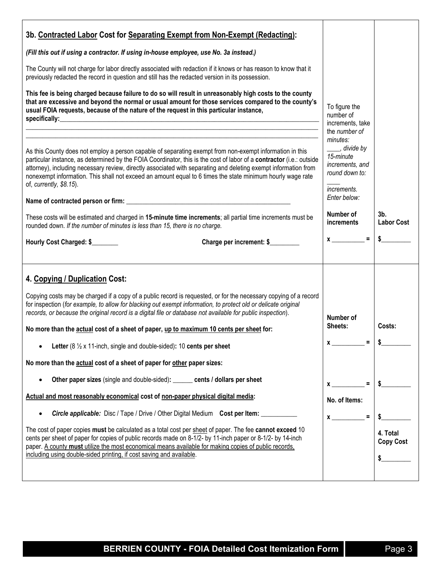| 3b. Contracted Labor Cost for Separating Exempt from Non-Exempt (Redacting):                                                                                                                                                                                                                                                                                                                                                                                                                                                                                                                                                                                                                                                                                                                                                               |                                                                                                                                                                                                                                                                                                                                                                                                                                                                                        |                                    |
|--------------------------------------------------------------------------------------------------------------------------------------------------------------------------------------------------------------------------------------------------------------------------------------------------------------------------------------------------------------------------------------------------------------------------------------------------------------------------------------------------------------------------------------------------------------------------------------------------------------------------------------------------------------------------------------------------------------------------------------------------------------------------------------------------------------------------------------------|----------------------------------------------------------------------------------------------------------------------------------------------------------------------------------------------------------------------------------------------------------------------------------------------------------------------------------------------------------------------------------------------------------------------------------------------------------------------------------------|------------------------------------|
| (Fill this out if using a contractor. If using in-house employee, use No. 3a instead.)                                                                                                                                                                                                                                                                                                                                                                                                                                                                                                                                                                                                                                                                                                                                                     |                                                                                                                                                                                                                                                                                                                                                                                                                                                                                        |                                    |
| The County will not charge for labor directly associated with redaction if it knows or has reason to know that it<br>previously redacted the record in question and still has the redacted version in its possession.                                                                                                                                                                                                                                                                                                                                                                                                                                                                                                                                                                                                                      |                                                                                                                                                                                                                                                                                                                                                                                                                                                                                        |                                    |
| This fee is being charged because failure to do so will result in unreasonably high costs to the county<br>that are excessive and beyond the normal or usual amount for those services compared to the county's<br>usual FOIA requests, because of the nature of the request in this particular instance,<br>specifically: experience and the specifical specifical system of the specifical system of the system of the system of the system of the system of the system of the system of the system of the system of the system of the sy                                                                                                                                                                                                                                                                                                | To figure the<br>number of<br>increments, take                                                                                                                                                                                                                                                                                                                                                                                                                                         |                                    |
| As this County does not employ a person capable of separating exempt from non-exempt information in this<br>particular instance, as determined by the FOIA Coordinator, this is the cost of labor of a contractor (i.e.: outside<br>attorney), including necessary review, directly associated with separating and deleting exempt information from<br>nonexempt information. This shall not exceed an amount equal to 6 times the state minimum hourly wage rate<br>of, currently, \$8.15).<br>These costs will be estimated and charged in 15-minute time increments; all partial time increments must be                                                                                                                                                                                                                                | the number of<br>minutes:<br>____, divide by<br>15-minute<br>increments, and<br>round down to:<br>increments.<br>Enter below:<br>Number of                                                                                                                                                                                                                                                                                                                                             | 3 <sub>b</sub>                     |
| rounded down. If the number of minutes is less than 15, there is no charge.                                                                                                                                                                                                                                                                                                                                                                                                                                                                                                                                                                                                                                                                                                                                                                | increments                                                                                                                                                                                                                                                                                                                                                                                                                                                                             | <b>Labor Cost</b>                  |
| Hourly Cost Charged: \$<br>Charge per increment: \$                                                                                                                                                                                                                                                                                                                                                                                                                                                                                                                                                                                                                                                                                                                                                                                        | $x \overline{\phantom{a}}$ =                                                                                                                                                                                                                                                                                                                                                                                                                                                           | \$                                 |
| 4. Copying / Duplication Cost:<br>Copying costs may be charged if a copy of a public record is requested, or for the necessary copying of a record<br>for inspection (for example, to allow for blacking out exempt information, to protect old or delicate original<br>records, or because the original record is a digital file or database not available for public inspection).<br>No more than the actual cost of a sheet of paper, up to maximum 10 cents per sheet for:<br>Letter (8 $\frac{1}{2}$ x 11-inch, single and double-sided): 10 cents per sheet<br>$\bullet$<br>No more than the actual cost of a sheet of paper for other paper sizes:<br>Other paper sizes (single and double-sided): ______ cents / dollars per sheet<br>$\bullet$<br>Actual and most reasonably economical cost of non-paper physical digital media: | Number of<br>Sheets:<br>$\equiv$<br>$\boldsymbol{\mathsf{X}}$ and $\boldsymbol{\mathsf{X}}$ and $\boldsymbol{\mathsf{X}}$ and $\boldsymbol{\mathsf{X}}$ and $\boldsymbol{\mathsf{X}}$ and $\boldsymbol{\mathsf{X}}$ and $\boldsymbol{\mathsf{X}}$ and $\boldsymbol{\mathsf{X}}$ and $\boldsymbol{\mathsf{X}}$ and $\boldsymbol{\mathsf{X}}$ and $\boldsymbol{\mathsf{X}}$ and $\boldsymbol{\mathsf{X}}$ and $\boldsymbol{\mathsf{X}}$ and $\boldsymbol{\mathsf{X}}$ a<br>No. of Items: | Costs:<br>\$                       |
| Circle applicable: Disc / Tape / Drive / Other Digital Medium Cost per Item: _________<br>$\bullet$<br>The cost of paper copies must be calculated as a total cost per sheet of paper. The fee cannot exceed 10<br>cents per sheet of paper for copies of public records made on 8-1/2- by 11-inch paper or 8-1/2- by 14-inch<br>paper. A county must utilize the most economical means available for making copies of public records,<br>including using double-sided printing, if cost saving and available.                                                                                                                                                                                                                                                                                                                             | $x =$                                                                                                                                                                                                                                                                                                                                                                                                                                                                                  | \$<br>4. Total<br><b>Copy Cost</b> |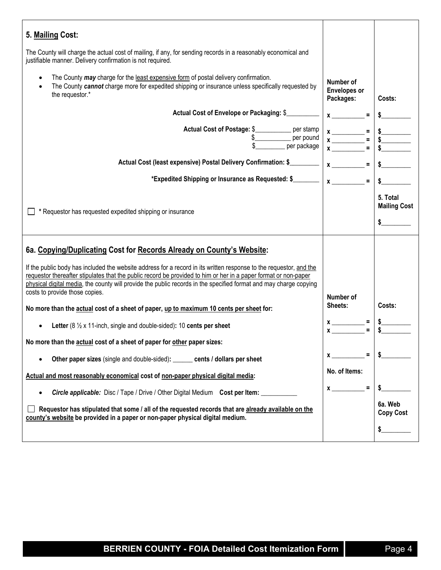| 5. Mailing Cost:                                                                                                                                                                                                                                                                                                                                                                                                                    |                                                                                                                                                                                                                                                                                                                                                                                                                                                                                                                                                                                                                           |                                           |
|-------------------------------------------------------------------------------------------------------------------------------------------------------------------------------------------------------------------------------------------------------------------------------------------------------------------------------------------------------------------------------------------------------------------------------------|---------------------------------------------------------------------------------------------------------------------------------------------------------------------------------------------------------------------------------------------------------------------------------------------------------------------------------------------------------------------------------------------------------------------------------------------------------------------------------------------------------------------------------------------------------------------------------------------------------------------------|-------------------------------------------|
| The County will charge the actual cost of mailing, if any, for sending records in a reasonably economical and<br>justifiable manner. Delivery confirmation is not required.                                                                                                                                                                                                                                                         |                                                                                                                                                                                                                                                                                                                                                                                                                                                                                                                                                                                                                           |                                           |
| The County may charge for the least expensive form of postal delivery confirmation.<br>$\bullet$<br>The County cannot charge more for expedited shipping or insurance unless specifically requested by<br>the requestor.*                                                                                                                                                                                                           | Number of<br><b>Envelopes or</b><br>Packages:                                                                                                                                                                                                                                                                                                                                                                                                                                                                                                                                                                             | Costs:                                    |
| Actual Cost of Envelope or Packaging: \$                                                                                                                                                                                                                                                                                                                                                                                            | $x \overline{\phantom{a}}$                                                                                                                                                                                                                                                                                                                                                                                                                                                                                                                                                                                                |                                           |
| Actual Cost of Postage: \$___________ per stamp                                                                                                                                                                                                                                                                                                                                                                                     | $x \longrightarrow x$<br>$x \longrightarrow y$ = $x \longrightarrow y$<br>$x \longrightarrow z$ = $x \longrightarrow z$ = $x \longrightarrow z$ = $x \longrightarrow z$ = $x \longrightarrow z$ = $x \longrightarrow z$ = $x \longrightarrow z$ = $x \longrightarrow z$ = $x \longrightarrow z$ = $x \longrightarrow z$ = $x \longrightarrow z$ = $x \longrightarrow z$ = $x \longrightarrow z$ = $x \longrightarrow z$ = $x \longrightarrow z$ = $x \longrightarrow z$ = $x \longrightarrow z$ = $x \longrightarrow z$ = $x \longrightarrow z$ = $x \longrightarrow z$ = $x \longrightarrow z$ = $x \longrightarrow z$ = |                                           |
| Actual Cost (least expensive) Postal Delivery Confirmation: \$                                                                                                                                                                                                                                                                                                                                                                      | $x \overline{\phantom{a}} =$                                                                                                                                                                                                                                                                                                                                                                                                                                                                                                                                                                                              | s                                         |
| *Expedited Shipping or Insurance as Requested: \$                                                                                                                                                                                                                                                                                                                                                                                   | $x \overline{\phantom{a}}$<br>$\equiv$                                                                                                                                                                                                                                                                                                                                                                                                                                                                                                                                                                                    |                                           |
| * Requestor has requested expedited shipping or insurance                                                                                                                                                                                                                                                                                                                                                                           |                                                                                                                                                                                                                                                                                                                                                                                                                                                                                                                                                                                                                           | 5. Total<br><b>Mailing Cost</b><br>$\sim$ |
| 6a. Copying/Duplicating Cost for Records Already on County's Website:<br>If the public body has included the website address for a record in its written response to the requestor, and the<br>requestor thereafter stipulates that the public record be provided to him or her in a paper format or non-paper<br>physical digital media, the county will provide the public records in the specified format and may charge copying |                                                                                                                                                                                                                                                                                                                                                                                                                                                                                                                                                                                                                           |                                           |
| costs to provide those copies.                                                                                                                                                                                                                                                                                                                                                                                                      | Number of                                                                                                                                                                                                                                                                                                                                                                                                                                                                                                                                                                                                                 |                                           |
| No more than the actual cost of a sheet of paper, up to maximum 10 cents per sheet for:                                                                                                                                                                                                                                                                                                                                             | Sheets:                                                                                                                                                                                                                                                                                                                                                                                                                                                                                                                                                                                                                   | Costs:                                    |
| Letter (8 $\frac{1}{2}$ x 11-inch, single and double-sided): 10 cents per sheet                                                                                                                                                                                                                                                                                                                                                     | $x_{-}$ $-$                                                                                                                                                                                                                                                                                                                                                                                                                                                                                                                                                                                                               |                                           |
| No more than the actual cost of a sheet of paper for other paper sizes:                                                                                                                                                                                                                                                                                                                                                             |                                                                                                                                                                                                                                                                                                                                                                                                                                                                                                                                                                                                                           |                                           |
| Other paper sizes (single and double-sided): ______ cents / dollars per sheet<br>$\bullet$                                                                                                                                                                                                                                                                                                                                          | $x \sim 1$                                                                                                                                                                                                                                                                                                                                                                                                                                                                                                                                                                                                                | $\sim$                                    |
| Actual and most reasonably economical cost of non-paper physical digital media:                                                                                                                                                                                                                                                                                                                                                     | No. of Items:                                                                                                                                                                                                                                                                                                                                                                                                                                                                                                                                                                                                             |                                           |
| Circle applicable: Disc / Tape / Drive / Other Digital Medium Cost per Item: ____<br>٠                                                                                                                                                                                                                                                                                                                                              | $\equiv$<br>$\mathbf x$                                                                                                                                                                                                                                                                                                                                                                                                                                                                                                                                                                                                   | \$                                        |
| Requestor has stipulated that some / all of the requested records that are already available on the<br>county's website be provided in a paper or non-paper physical digital medium.                                                                                                                                                                                                                                                |                                                                                                                                                                                                                                                                                                                                                                                                                                                                                                                                                                                                                           | 6a. Web<br><b>Copy Cost</b>               |
|                                                                                                                                                                                                                                                                                                                                                                                                                                     |                                                                                                                                                                                                                                                                                                                                                                                                                                                                                                                                                                                                                           | \$                                        |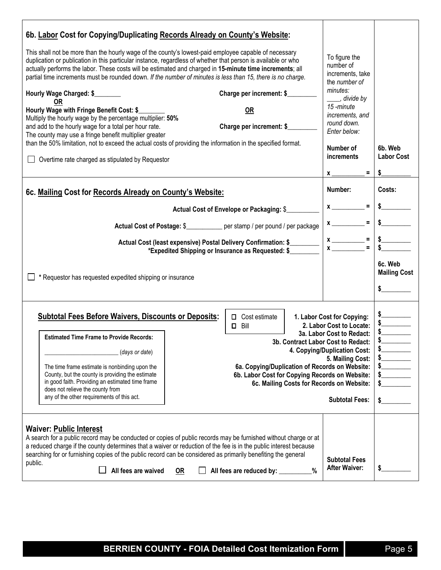| 6b. Labor Cost for Copying/Duplicating Records Already on County's Website:                                                                                                                                                                                                                                                                                                                                                                       |                                                                                                  |                                                                 |                                |
|---------------------------------------------------------------------------------------------------------------------------------------------------------------------------------------------------------------------------------------------------------------------------------------------------------------------------------------------------------------------------------------------------------------------------------------------------|--------------------------------------------------------------------------------------------------|-----------------------------------------------------------------|--------------------------------|
| This shall not be more than the hourly wage of the county's lowest-paid employee capable of necessary<br>duplication or publication in this particular instance, regardless of whether that person is available or who<br>actually performs the labor. These costs will be estimated and charged in 15-minute time increments; all<br>partial time increments must be rounded down. If the number of minutes is less than 15, there is no charge. |                                                                                                  | To figure the<br>number of<br>increments, take<br>the number of |                                |
| Hourly Wage Charged: \$                                                                                                                                                                                                                                                                                                                                                                                                                           | Charge per increment: \$                                                                         | minutes:<br>____, divide by                                     |                                |
| 0R<br>Hourly Wage with Fringe Benefit Cost: \$<br>Multiply the hourly wage by the percentage multiplier: 50%<br>and add to the hourly wage for a total per hour rate.<br>The county may use a fringe benefit multiplier greater                                                                                                                                                                                                                   | <b>OR</b><br>Charge per increment: \$                                                            | 15-minute<br>increments, and<br>round down.<br>Enter below:     |                                |
| than the 50% limitation, not to exceed the actual costs of providing the information in the specified format.                                                                                                                                                                                                                                                                                                                                     |                                                                                                  | Number of                                                       | 6b. Web                        |
| Overtime rate charged as stipulated by Requestor                                                                                                                                                                                                                                                                                                                                                                                                  |                                                                                                  | increments                                                      | <b>Labor Cost</b>              |
|                                                                                                                                                                                                                                                                                                                                                                                                                                                   |                                                                                                  | $=$<br>X                                                        | \$                             |
| 6c. Mailing Cost for Records Already on County's Website:                                                                                                                                                                                                                                                                                                                                                                                         |                                                                                                  | Number:                                                         | Costs:                         |
|                                                                                                                                                                                                                                                                                                                                                                                                                                                   | Actual Cost of Envelope or Packaging: \$                                                         | $x \overline{\phantom{a}}$                                      |                                |
| Actual Cost of Postage: \$____________ per stamp / per pound / per package                                                                                                                                                                                                                                                                                                                                                                        |                                                                                                  | $x \overline{\phantom{a}}$                                      |                                |
| Actual Cost (least expensive) Postal Delivery Confirmation: \$                                                                                                                                                                                                                                                                                                                                                                                    |                                                                                                  | $x \overline{) x \overline{)}$<br>$\equiv$                      |                                |
|                                                                                                                                                                                                                                                                                                                                                                                                                                                   | *Expedited Shipping or Insurance as Requested: \$                                                |                                                                 |                                |
| * Requestor has requested expedited shipping or insurance                                                                                                                                                                                                                                                                                                                                                                                         |                                                                                                  |                                                                 | 6c. Web<br><b>Mailing Cost</b> |
|                                                                                                                                                                                                                                                                                                                                                                                                                                                   |                                                                                                  |                                                                 |                                |
|                                                                                                                                                                                                                                                                                                                                                                                                                                                   |                                                                                                  |                                                                 |                                |
| <b>Subtotal Fees Before Waivers, Discounts or Deposits:</b>                                                                                                                                                                                                                                                                                                                                                                                       | $\Box$ Cost estimate<br>Bill<br>0                                                                | 1. Labor Cost for Copying:<br>2. Labor Cost to Locate:          |                                |
| <b>Estimated Time Frame to Provide Records:</b>                                                                                                                                                                                                                                                                                                                                                                                                   |                                                                                                  | 3a. Labor Cost to Redact:<br>3b. Contract Labor Cost to Redact: |                                |
| (days or date)                                                                                                                                                                                                                                                                                                                                                                                                                                    |                                                                                                  | 4. Copying/Duplication Cost:<br>5. Mailing Cost:                | $\frac{1}{2}$<br>s             |
| The time frame estimate is nonbinding upon the<br>County, but the county is providing the estimate                                                                                                                                                                                                                                                                                                                                                | 6a. Copying/Duplication of Records on Website:<br>6b. Labor Cost for Copying Records on Website: |                                                                 | $\frac{1}{2}$<br>$\frac{1}{2}$ |
| in good faith. Providing an estimated time frame<br>does not relieve the county from                                                                                                                                                                                                                                                                                                                                                              |                                                                                                  | 6c. Mailing Costs for Records on Website:                       | $\sim$                         |
| any of the other requirements of this act.                                                                                                                                                                                                                                                                                                                                                                                                        |                                                                                                  | <b>Subtotal Fees:</b>                                           | $\sim$                         |
|                                                                                                                                                                                                                                                                                                                                                                                                                                                   |                                                                                                  |                                                                 |                                |
| <b>Waiver: Public Interest</b><br>A search for a public record may be conducted or copies of public records may be furnished without charge or at                                                                                                                                                                                                                                                                                                 |                                                                                                  |                                                                 |                                |
| a reduced charge if the county determines that a waiver or reduction of the fee is in the public interest because<br>searching for or furnishing copies of the public record can be considered as primarily benefiting the general                                                                                                                                                                                                                |                                                                                                  |                                                                 |                                |
| public.<br>All fees are waived<br>OR                                                                                                                                                                                                                                                                                                                                                                                                              | All fees are reduced by: _______                                                                 | <b>Subtotal Fees</b><br><b>After Waiver:</b><br>%               | \$                             |
|                                                                                                                                                                                                                                                                                                                                                                                                                                                   |                                                                                                  |                                                                 |                                |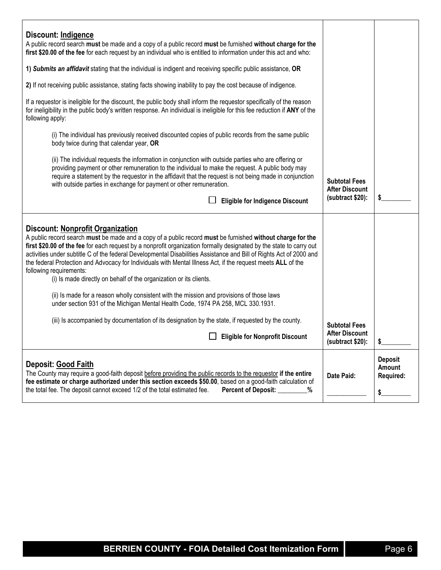| Discount: Indigence<br>A public record search must be made and a copy of a public record must be furnished without charge for the<br>first \$20.00 of the fee for each request by an individual who is entitled to information under this act and who:                                                                                                                                                                                                                                                                                                                                                                                                                                                                                                                                                                                                                                                                                                |                                                                   |                                                    |
|-------------------------------------------------------------------------------------------------------------------------------------------------------------------------------------------------------------------------------------------------------------------------------------------------------------------------------------------------------------------------------------------------------------------------------------------------------------------------------------------------------------------------------------------------------------------------------------------------------------------------------------------------------------------------------------------------------------------------------------------------------------------------------------------------------------------------------------------------------------------------------------------------------------------------------------------------------|-------------------------------------------------------------------|----------------------------------------------------|
| 1) Submits an affidavit stating that the individual is indigent and receiving specific public assistance, OR                                                                                                                                                                                                                                                                                                                                                                                                                                                                                                                                                                                                                                                                                                                                                                                                                                          |                                                                   |                                                    |
| 2) If not receiving public assistance, stating facts showing inability to pay the cost because of indigence.                                                                                                                                                                                                                                                                                                                                                                                                                                                                                                                                                                                                                                                                                                                                                                                                                                          |                                                                   |                                                    |
| If a requestor is ineligible for the discount, the public body shall inform the requestor specifically of the reason<br>for ineligibility in the public body's written response. An individual is ineligible for this fee reduction if ANY of the<br>following apply:                                                                                                                                                                                                                                                                                                                                                                                                                                                                                                                                                                                                                                                                                 |                                                                   |                                                    |
| (i) The individual has previously received discounted copies of public records from the same public<br>body twice during that calendar year, OR                                                                                                                                                                                                                                                                                                                                                                                                                                                                                                                                                                                                                                                                                                                                                                                                       |                                                                   |                                                    |
| (ii) The individual requests the information in conjunction with outside parties who are offering or<br>providing payment or other remuneration to the individual to make the request. A public body may<br>require a statement by the requestor in the affidavit that the request is not being made in conjunction<br>with outside parties in exchange for payment or other remuneration.                                                                                                                                                                                                                                                                                                                                                                                                                                                                                                                                                            | <b>Subtotal Fees</b><br><b>After Discount</b>                     |                                                    |
| <b>Eligible for Indigence Discount</b>                                                                                                                                                                                                                                                                                                                                                                                                                                                                                                                                                                                                                                                                                                                                                                                                                                                                                                                | (subtract \$20):                                                  |                                                    |
| <b>Discount: Nonprofit Organization</b><br>A public record search must be made and a copy of a public record must be furnished without charge for the<br>first \$20.00 of the fee for each request by a nonprofit organization formally designated by the state to carry out<br>activities under subtitle C of the federal Developmental Disabilities Assistance and Bill of Rights Act of 2000 and<br>the federal Protection and Advocacy for Individuals with Mental Illness Act, if the request meets ALL of the<br>following requirements:<br>(i) Is made directly on behalf of the organization or its clients.<br>(ii) Is made for a reason wholly consistent with the mission and provisions of those laws<br>under section 931 of the Michigan Mental Health Code, 1974 PA 258, MCL 330.1931.<br>(iii) Is accompanied by documentation of its designation by the state, if requested by the county.<br><b>Eligible for Nonprofit Discount</b> | <b>Subtotal Fees</b><br><b>After Discount</b><br>(subtract \$20): |                                                    |
| <b>Deposit: Good Faith</b><br>The County may require a good-faith deposit before providing the public records to the requestor if the entire<br>fee estimate or charge authorized under this section exceeds \$50.00, based on a good-faith calculation of<br>the total fee. The deposit cannot exceed 1/2 of the total estimated fee.<br>Percent of Deposit: ________%                                                                                                                                                                                                                                                                                                                                                                                                                                                                                                                                                                               | Date Paid:                                                        | <b>Deposit</b><br>Amount<br><b>Required:</b><br>\$ |